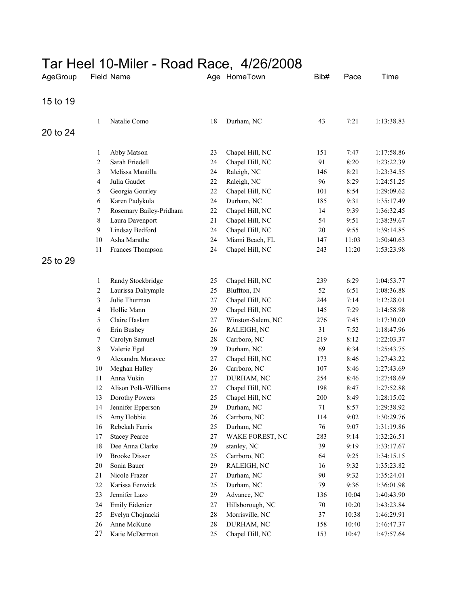## Tar Heel 10-Miler - Road Race, 4/26/2008

| AgeGroup | Field Name     |                         | Age HomeTown |                   | Bib#   | Pace  | Time       |
|----------|----------------|-------------------------|--------------|-------------------|--------|-------|------------|
| 15 to 19 |                |                         |              |                   |        |       |            |
|          | 1              | Natalie Como            | 18           | Durham, NC        | 43     | 7:21  | 1:13:38.83 |
| 20 to 24 |                |                         |              |                   |        |       |            |
|          | 1              | Abby Matson             | 23           | Chapel Hill, NC   | 151    | 7:47  | 1:17:58.86 |
|          | $\overline{2}$ | Sarah Friedell          | 24           | Chapel Hill, NC   | 91     | 8:20  | 1:23:22.39 |
|          | 3              | Melissa Mantilla        | 24           | Raleigh, NC       | 146    | 8:21  | 1:23:34.55 |
|          | $\overline{4}$ | Julia Gaudet            | 22           | Raleigh, NC       | 96     | 8:29  | 1:24:51.25 |
|          | 5              | Georgia Gourley         | 22           | Chapel Hill, NC   | 101    | 8:54  | 1:29:09.62 |
|          | 6              | Karen Padykula          | 24           | Durham, NC        | 185    | 9:31  | 1:35:17.49 |
|          | 7              | Rosemary Bailey-Pridham | 22           | Chapel Hill, NC   | 14     | 9:39  | 1:36:32.45 |
|          | $8\,$          | Laura Davenport         | 21           | Chapel Hill, NC   | 54     | 9:51  | 1:38:39.67 |
|          | 9              | Lindsay Bedford         | 24           | Chapel Hill, NC   | $20\,$ | 9:55  | 1:39:14.85 |
|          | $10\,$         | Asha Marathe            | 24           | Miami Beach, FL   | 147    | 11:03 | 1:50:40.63 |
|          | 11             | Frances Thompson        | 24           | Chapel Hill, NC   | 243    | 11:20 | 1:53:23.98 |
| 25 to 29 |                |                         |              |                   |        |       |            |
|          | 1              | Randy Stockbridge       | 25           | Chapel Hill, NC   | 239    | 6:29  | 1:04:53.77 |
|          | 2              | Laurissa Dalrymple      | 25           | Bluffton, IN      | 52     | 6:51  | 1:08:36.88 |
|          | 3              | Julie Thurman           | $27\,$       | Chapel Hill, NC   | 244    | 7:14  | 1:12:28.01 |
|          | $\overline{4}$ | Hollie Mann             | 29           | Chapel Hill, NC   | 145    | 7:29  | 1:14:58.98 |
|          | 5              | Claire Haslam           | $27\,$       | Winston-Salem, NC | 276    | 7:45  | 1:17:30.00 |
|          | 6              | Erin Bushey             | 26           | RALEIGH, NC       | 31     | 7:52  | 1:18:47.96 |
|          | 7              | Carolyn Samuel          | $28\,$       | Carrboro, NC      | 219    | 8:12  | 1:22:03.37 |
|          | 8              | Valerie Egel            | 29           | Durham, NC        | 69     | 8:34  | 1:25:43.75 |
|          | 9              | Alexandra Moravec       | 27           | Chapel Hill, NC   | 173    | 8:46  | 1:27:43.22 |
|          | $10\,$         | Meghan Halley           | 26           | Carrboro, NC      | 107    | 8:46  | 1:27:43.69 |
|          | 11             | Anna Vukin              | 27           | DURHAM, NC        | 254    | 8:46  | 1:27:48.69 |
|          | 12             | Alison Polk-Williams    | 27           | Chapel Hill, NC   | 198    | 8:47  | 1:27:52.88 |
|          | 13             | Dorothy Powers          | 25           | Chapel Hill, NC   | 200    | 8:49  | 1:28:15.02 |
|          | 14             | Jennifer Epperson       | 29           | Durham, NC        | 71     | 8:57  | 1:29:38.92 |
|          | 15             | Amy Hobbie              | 26           | Carrboro, NC      | 114    | 9:02  | 1:30:29.76 |
|          | 16             | Rebekah Farris          | 25           | Durham, NC        | 76     | 9:07  | 1:31:19.86 |
|          | 17             | <b>Stacey Pearce</b>    | $27\,$       | WAKE FOREST, NC   | 283    | 9:14  | 1:32:26.51 |
|          | 18             | Dee Anna Clarke         | 29           | stanley, NC       | 39     | 9:19  | 1:33:17.67 |
|          | 19             | <b>Brooke Disser</b>    | 25           | Carrboro, NC      | 64     | 9:25  | 1:34:15.15 |
|          | 20             | Sonia Bauer             | 29           | RALEIGH, NC       | 16     | 9:32  | 1:35:23.82 |
|          | 21             | Nicole Frazer           | 27           | Durham, NC        | 90     | 9:32  | 1:35:24.01 |
|          | $22\,$         | Karissa Fenwick         | 25           | Durham, NC        | 79     | 9:36  | 1:36:01.98 |
|          | 23             | Jennifer Lazo           | 29           | Advance, NC       | 136    | 10:04 | 1:40:43.90 |
|          | 24             | Emily Eidenier          | 27           | Hillsborough, NC  | $70\,$ | 10:20 | 1:43:23.84 |
|          | 25             | Evelyn Chojnacki        | $28\,$       | Morrisville, NC   | 37     | 10:38 | 1:46:29.91 |
|          | 26             | Anne McKune             | 28           | DURHAM, NC        | 158    | 10:40 | 1:46:47.37 |
|          | 27             | Katie McDermott         | 25           | Chapel Hill, NC   | 153    | 10:47 | 1:47:57.64 |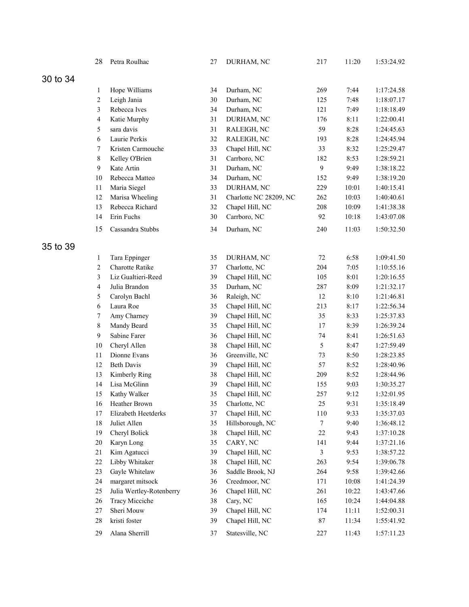|          | 28             | Petra Roulhac            | 27 | DURHAM, NC             | 217            | 11:20 | 1:53:24.92 |
|----------|----------------|--------------------------|----|------------------------|----------------|-------|------------|
| 30 to 34 |                |                          |    |                        |                |       |            |
|          | 1              | Hope Williams            | 34 | Durham, NC             | 269            | 7:44  | 1:17:24.58 |
|          | 2              | Leigh Jania              | 30 | Durham, NC             | 125            | 7:48  | 1:18:07.17 |
|          | 3              | Rebecca Ives             | 34 | Durham, NC             | 121            | 7:49  | 1:18:18.49 |
|          | $\overline{4}$ | Katie Murphy             | 31 | DURHAM, NC             | 176            | 8:11  | 1:22:00.41 |
|          | 5              | sara davis               | 31 | RALEIGH, NC            | 59             | 8:28  | 1:24:45.63 |
|          | $\sqrt{6}$     | Laurie Perkis            | 32 | RALEIGH, NC            | 193            | 8:28  | 1:24:45.94 |
|          | 7              | Kristen Carmouche        | 33 | Chapel Hill, NC        | 33             | 8:32  | 1:25:29.47 |
|          | $8\,$          | Kelley O'Brien           | 31 | Carrboro, NC           | 182            | 8:53  | 1:28:59.21 |
|          | 9              | Kate Artin               | 31 | Durham, NC             | $\mathbf{9}$   | 9:49  | 1:38:18.22 |
|          | 10             | Rebecca Matteo           | 34 | Durham, NC             | 152            | 9:49  | 1:38:19.20 |
|          | 11             | Maria Siegel             | 33 | DURHAM, NC             | 229            | 10:01 | 1:40:15.41 |
|          | 12             | Marisa Wheeling          | 31 | Charlotte NC 28209, NC | 262            | 10:03 | 1:40:40.61 |
|          | 13             | Rebecca Richard          | 32 | Chapel Hill, NC        | 208            | 10:09 | 1:41:38.38 |
|          | 14             | Erin Fuchs               | 30 | Carrboro, NC           | 92             | 10:18 | 1:43:07.08 |
|          | 15             | Cassandra Stubbs         | 34 | Durham, NC             | 240            | 11:03 | 1:50:32.50 |
| 35 to 39 |                |                          |    |                        |                |       |            |
|          | $\mathbf{1}$   | Tara Eppinger            | 35 | DURHAM, NC             | 72             | 6:58  | 1:09:41.50 |
|          | $\overline{c}$ | Charotte Ratike          | 37 | Charlotte, NC          | 204            | 7:05  | 1:10:55.16 |
|          | 3              | Liz Gualtieri-Reed       | 39 | Chapel Hill, NC        | 105            | 8:01  | 1:20:16.55 |
|          | $\overline{4}$ | Julia Brandon            | 35 | Durham, NC             | 287            | 8:09  | 1:21:32.17 |
|          | 5              | Carolyn Bachl            | 36 | Raleigh, NC            | 12             | 8:10  | 1:21:46.81 |
|          | 6              | Laura Roe                | 35 | Chapel Hill, NC        | 213            | 8:17  | 1:22:56.34 |
|          | 7              | Amy Charney              | 39 | Chapel Hill, NC        | 35             | 8:33  | 1:25:37.83 |
|          | $8\,$          | Mandy Beard              | 35 | Chapel Hill, NC        | 17             | 8:39  | 1:26:39.24 |
|          | 9              | Sabine Farer             | 36 | Chapel Hill, NC        | 74             | 8:41  | 1:26:51.63 |
|          | 10             | Cheryl Allen             | 38 | Chapel Hill, NC        | 5              | 8:47  | 1:27:59.49 |
|          | 11             | Dionne Evans             | 36 | Greenville, NC         | 73             | 8:50  | 1:28:23.85 |
|          | 12             | <b>Beth Davis</b>        | 39 | Chapel Hill, NC        | 57             | 8:52  | 1:28:40.96 |
|          | 13             | Kimberly Ring            | 38 | Chapel Hill, NC        | 209            | 8:52  | 1:28:44.96 |
|          | 14             | Lisa McGlinn             | 39 | Chapel Hill, NC        | 155            | 9:03  | 1:30:35.27 |
|          | 15             | Kathy Walker             | 35 | Chapel Hill, NC        | 257            | 9:12  | 1:32:01.95 |
|          | 16             | Heather Brown            | 35 | Charlotte, NC          | $25\,$         | 9:31  | 1:35:18.49 |
|          | 17             | Elizabeth Heetderks      | 37 | Chapel Hill, NC        | 110            | 9:33  | 1:35:37.03 |
|          | 18             | Juliet Allen             | 35 | Hillsborough, NC       | $\tau$         | 9:40  | 1:36:48.12 |
|          | 19             | Cheryl Bolick            | 38 | Chapel Hill, NC        | $22\,$         | 9:43  | 1:37:10.28 |
|          | 20             | Karyn Long               | 35 | CARY, NC               | 141            | 9:44  | 1:37:21.16 |
|          | 21             | Kim Agatucci             | 39 | Chapel Hill, NC        | $\mathfrak{Z}$ | 9:53  | 1:38:57.22 |
|          | 22             | Libby Whitaker           | 38 | Chapel Hill, NC        | 263            | 9:54  | 1:39:06.78 |
|          | 23             | Gayle Whitelaw           | 36 | Saddle Brook, NJ       | 264            | 9:58  | 1:39:42.66 |
|          | 24             | margaret mitsock         | 36 | Creedmoor, NC          | 171            | 10:08 | 1:41:24.39 |
|          | 25             | Julia Wertley-Rotenberry | 36 | Chapel Hill, NC        | 261            | 10:22 | 1:43:47.66 |
|          | 26             | <b>Tracy Micciche</b>    | 38 | Cary, NC               | 165            | 10:24 | 1:44:04.88 |
|          | $27\,$         | Sheri Mouw               | 39 | Chapel Hill, NC        | 174            | 11:11 | 1:52:00.31 |
|          | 28             | kristi foster            | 39 | Chapel Hill, NC        | $87\,$         | 11:34 | 1:55:41.92 |
|          | 29             | Alana Sherrill           | 37 | Statesville, NC        | 227            | 11:43 | 1:57:11.23 |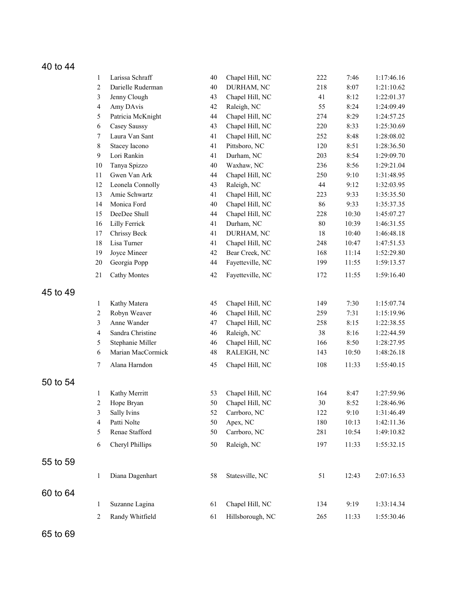## 40 to 44

|          | $\mathbf{1}$   | Larissa Schraff     | 40 | Chapel Hill, NC  | 222    | 7:46  | 1:17:46.16 |
|----------|----------------|---------------------|----|------------------|--------|-------|------------|
|          | $\overline{c}$ | Darielle Ruderman   | 40 | DURHAM, NC       | 218    | 8:07  | 1:21:10.62 |
|          | 3              | Jenny Clough        | 43 | Chapel Hill, NC  | 41     | 8:12  | 1:22:01.37 |
|          | $\overline{4}$ | Amy DAvis           | 42 | Raleigh, NC      | 55     | 8:24  | 1:24:09.49 |
|          | $\sqrt{5}$     | Patricia McKnight   | 44 | Chapel Hill, NC  | 274    | 8:29  | 1:24:57.25 |
|          | $\sqrt{6}$     | Casey Saussy        | 43 | Chapel Hill, NC  | 220    | 8:33  | 1:25:30.69 |
|          | $\tau$         | Laura Van Sant      | 41 | Chapel Hill, NC  | 252    | 8:48  | 1:28:08.02 |
|          | $8\,$          | Stacey Iacono       | 41 | Pittsboro, NC    | 120    | 8:51  | 1:28:36.50 |
|          | 9              | Lori Rankin         | 41 | Durham, NC       | 203    | 8:54  | 1:29:09.70 |
|          | 10             | Tanya Spizzo        | 40 | Waxhaw, NC       | 236    | 8:56  | 1:29:21.04 |
|          | 11             | Gwen Van Ark        | 44 | Chapel Hill, NC  | 250    | 9:10  | 1:31:48.95 |
|          | 12             | Leonela Connolly    | 43 | Raleigh, NC      | 44     | 9:12  | 1:32:03.95 |
|          | 13             | Amie Schwartz       | 41 | Chapel Hill, NC  | 223    | 9:33  | 1:35:35.50 |
|          | 14             | Monica Ford         | 40 | Chapel Hill, NC  | 86     | 9:33  | 1:35:37.35 |
|          | 15             | DeeDee Shull        | 44 | Chapel Hill, NC  | 228    | 10:30 | 1:45:07.27 |
|          | 16             | Lilly Ferrick       | 41 | Durham, NC       | $80\,$ | 10:39 | 1:46:31.55 |
|          | 17             | Chrissy Beck        | 41 | DURHAM, NC       | 18     | 10:40 | 1:46:48.18 |
|          | 18             | Lisa Turner         | 41 | Chapel Hill, NC  | 248    | 10:47 | 1:47:51.53 |
|          | 19             | Joyce Mineer        | 42 | Bear Creek, NC   | 168    | 11:14 | 1:52:29.80 |
|          | 20             | Georgia Popp        | 44 | Fayetteville, NC | 199    | 11:55 | 1:59:13.57 |
|          | 21             | <b>Cathy Montes</b> | 42 | Fayetteville, NC | 172    | 11:55 | 1:59:16.40 |
| 45 to 49 |                |                     |    |                  |        |       |            |
|          | $\mathbf{1}$   | Kathy Matera        | 45 | Chapel Hill, NC  | 149    | 7:30  | 1:15:07.74 |
|          | $\overline{c}$ | Robyn Weaver        | 46 | Chapel Hill, NC  | 259    | 7:31  | 1:15:19.96 |
|          | $\mathfrak{Z}$ | Anne Wander         | 47 | Chapel Hill, NC  | 258    | 8:15  | 1:22:38.55 |
|          | $\overline{4}$ | Sandra Christine    | 46 | Raleigh, NC      | 38     | 8:16  | 1:22:44.59 |
|          | $\sqrt{5}$     | Stephanie Miller    | 46 | Chapel Hill, NC  | 166    | 8:50  | 1:28:27.95 |
|          | $\sqrt{6}$     | Marian MacCormick   | 48 | RALEIGH, NC      | 143    | 10:50 | 1:48:26.18 |
|          | $\tau$         | Alana Harndon       | 45 | Chapel Hill, NC  | 108    | 11:33 | 1:55:40.15 |
| 50 to 54 |                |                     |    |                  |        |       |            |
|          | 1              | Kathy Merritt       | 53 | Chapel Hill, NC  | 164    | 8:47  | 1:27:59.96 |
|          | 2              | Hope Bryan          | 50 | Chapel Hill, NC  | $30\,$ | 8:52  | 1:28:46.96 |
|          | 3              | Sally Ivins         | 52 | Carrboro, NC     | 122    | 9:10  | 1:31:46.49 |
|          | 4              | Patti Nolte         | 50 | Apex, NC         | 180    | 10:13 | 1:42:11.36 |
|          | 5              | Renae Stafford      | 50 | Carrboro, NC     | 281    | 10:54 | 1:49:10.82 |
|          | 6              | Cheryl Phillips     | 50 | Raleigh, NC      | 197    | 11:33 | 1:55:32.15 |
| 55 to 59 |                |                     |    |                  |        |       |            |
|          | 1              | Diana Dagenhart     | 58 | Statesville, NC  | 51     | 12:43 | 2:07:16.53 |
| 60 to 64 |                |                     |    |                  |        |       |            |
|          | 1              | Suzanne Lagina      | 61 | Chapel Hill, NC  | 134    | 9:19  | 1:33:14.34 |
|          | $\overline{c}$ | Randy Whitfield     | 61 | Hillsborough, NC | 265    | 11:33 | 1:55:30.46 |
|          |                |                     |    |                  |        |       |            |

65 to 69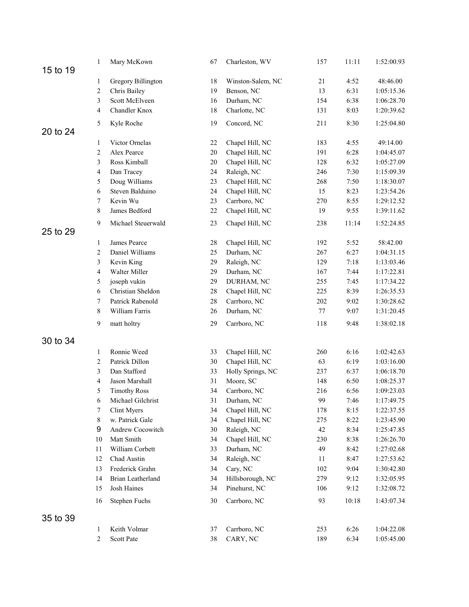|          | $\mathbf{1}$ | Mary McKown         | 67     | Charleston, WV    | 157    | 11:11 | 1:52:00.93 |
|----------|--------------|---------------------|--------|-------------------|--------|-------|------------|
| 15 to 19 |              |                     |        |                   |        |       |            |
|          | 1            | Gregory Billington  | 18     | Winston-Salem, NC | 21     | 4:52  | 48:46.00   |
|          | 2            | Chris Bailey        | 19     | Benson, NC        | 13     | 6:31  | 1:05:15.36 |
|          | 3            | Scott McElveen      | 16     | Durham, NC        | 154    | 6:38  | 1:06:28.70 |
|          | 4            | Chandler Knox       | 18     | Charlotte, NC     | 131    | 8:03  | 1:20:39.62 |
| 20 to 24 | 5            | Kyle Roche          | 19     | Concord, NC       | 211    | 8:30  | 1:25:04.80 |
|          | 1            | Victor Ornelas      | 22     | Chapel Hill, NC   | 183    | 4:55  | 49:14.00   |
|          | 2            | Alex Pearce         | $20\,$ | Chapel Hill, NC   | 191    | 6:28  | 1:04:45.07 |
|          | 3            | Ross Kimball        | $20\,$ | Chapel Hill, NC   | 128    | 6:32  | 1:05:27.09 |
|          | 4            | Dan Tracey          | 24     | Raleigh, NC       | 246    | 7:30  | 1:15:09.39 |
|          | 5            | Doug Williams       | 23     | Chapel Hill, NC   | 268    | 7:50  | 1:18:30.07 |
|          | 6            | Steven Balduino     | 24     | Chapel Hill, NC   | 15     | 8:23  | 1:23:54.26 |
|          | 7            | Kevin Wu            | 23     | Carrboro, NC      | 270    | 8:55  | 1:29:12.52 |
|          | 8            | James Bedford       | 22     | Chapel Hill, NC   | 19     | 9:55  | 1:39:11.62 |
| 25 to 29 | 9            | Michael Steuerwald  | 23     | Chapel Hill, NC   | 238    | 11:14 | 1:52:24.85 |
|          | 1            | James Pearce        | $28\,$ | Chapel Hill, NC   | 192    | 5:52  | 58:42.00   |
|          | 2            | Daniel Williams     | 25     | Durham, NC        | 267    | 6:27  | 1:04:31.15 |
|          | 3            | Kevin King          | 29     | Raleigh, NC       | 129    | 7:18  | 1:13:03.46 |
|          | 4            | Walter Miller       | 29     | Durham, NC        | 167    | 7:44  | 1:17:22.81 |
|          | 5            | joseph vukin        | 29     | DURHAM, NC        | 255    | 7:45  | 1:17:34.22 |
|          | 6            | Christian Sheldon   | $28\,$ | Chapel Hill, NC   | 225    | 8:39  | 1:26:35.53 |
|          | 7            | Patrick Rabenold    | $28\,$ | Carrboro, NC      | 202    | 9:02  | 1:30:28.62 |
|          | 8            | William Farris      | 26     | Durham, NC        | $77\,$ | 9:07  | 1:31:20.45 |
|          | 9            | matt holtry         | 29     | Carrboro, NC      | 118    | 9:48  | 1:38:02.18 |
| 30 to 34 |              |                     |        |                   |        |       |            |
|          | 1            | Ronnie Weed         | 33     | Chapel Hill, NC   | 260    | 6:16  | 1:02:42.63 |
|          | 2            | Patrick Dillon      | 30     | Chapel Hill, NC   | 63     | 6:19  | 1:03:16.00 |
|          | 3            | Dan Stafford        | 33     | Holly Springs, NC | 237    | 6:37  | 1:06:18.70 |
|          | 4            | Jason Marshall      | 31     | Moore, SC         | 148    | 6:50  | 1:08:25.37 |
|          | 5            | <b>Timothy Ross</b> | 34     | Carrboro, NC      | 216    | 6:56  | 1:09:23.03 |
|          | 6            | Michael Gilchrist   | 31     | Durham, NC        | 99     | 7:46  | 1:17:49.75 |
|          | 7            | Clint Myers         | 34     | Chapel Hill, NC   | 178    | 8:15  | 1:22:37.55 |
|          | 8            | w. Patrick Gale     | 34     | Chapel Hill, NC   | 275    | 8:22  | 1:23:45.90 |
|          | 9            | Andrew Cocowitch    | 30     | Raleigh, NC       | 42     | 8:34  | 1:25:47.85 |
|          | 10           | Matt Smith          | 34     | Chapel Hill, NC   | 230    | 8:38  | 1:26:26.70 |
|          | 11           | William Corbett     | 33     | Durham, NC        | 49     | 8:42  | 1:27:02.68 |
|          | 12           | Chad Austin         | 34     | Raleigh, NC       | 11     | 8:47  | 1:27:53.62 |
|          | 13           | Frederick Grahn     | 34     | Cary, NC          | 102    | 9:04  | 1:30:42.80 |
|          | 14           | Brian Leatherland   | 34     | Hillsborough, NC  | 279    | 9:12  | 1:32:05.95 |
|          | 15           | Josh Haines         | 34     | Pinehurst, NC     | 106    | 9:12  | 1:32:08.72 |
|          | 16           | Stephen Fuchs       | 30     | Carrboro, NC      | 93     | 10:18 | 1:43:07.34 |
| 35 to 39 |              |                     |        |                   |        |       |            |
|          | 1            | Keith Volmar        | 37     | Carrboro, NC      | 253    | 6:26  | 1:04:22.08 |
|          | 2            | Scott Pate          | 38     | CARY, NC          | 189    | 6:34  | 1:05:45.00 |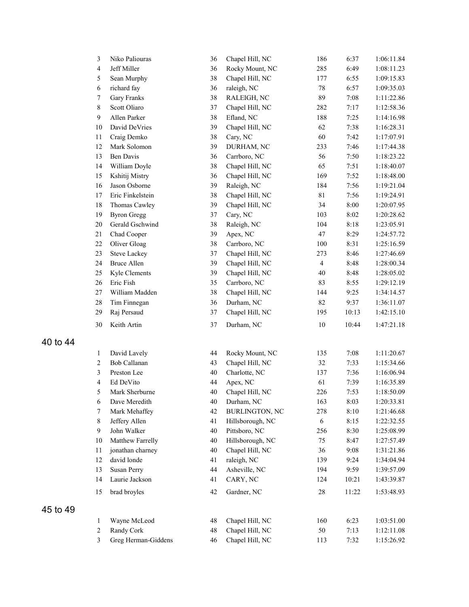| $\mathfrak{Z}$   | Niko Paliouras      | 36     | Chapel Hill, NC                | 186            | 6:37  | 1:06:11.84 |
|------------------|---------------------|--------|--------------------------------|----------------|-------|------------|
| $\overline{4}$   | Jeff Miller         | 36     | Rocky Mount, NC<br>285<br>6:49 |                |       | 1:08:11.23 |
| 5                | Sean Murphy         | 38     | Chapel Hill, NC                | 177            | 6:55  | 1:09:15.83 |
| $\sqrt{6}$       | richard fay         | 36     | raleigh, NC                    | $78\,$         | 6:57  | 1:09:35.03 |
| $\boldsymbol{7}$ | <b>Gary Franks</b>  | 38     | RALEIGH, NC                    | 89             | 7:08  | 1:11:22.86 |
| $8\,$            | Scott Oliaro        | 37     | Chapel Hill, NC                | 282            | 7:17  | 1:12:58.36 |
| 9                | Allen Parker        | 38     | Efland, NC                     | 188            | 7:25  | 1:14:16.98 |
| 10               | David DeVries       | 39     | Chapel Hill, NC                | 62             | 7:38  | 1:16:28.31 |
| 11               | Craig Demko         | 38     | Cary, NC                       | 60             | 7:42  | 1:17:07.91 |
| 12               | Mark Solomon        | 39     | DURHAM, NC                     | 233            | 7:46  | 1:17:44.38 |
| 13               | <b>Ben Davis</b>    | 36     | Carrboro, NC                   | 56             | 7:50  | 1:18:23.22 |
| 14               | William Doyle       | 38     | Chapel Hill, NC                | 65             | 7:51  | 1:18:40.07 |
| 15               | Kshitij Mistry      | 36     | Chapel Hill, NC                | 169            | 7:52  | 1:18:48.00 |
| 16               | Jason Osborne       | 39     | Raleigh, NC                    | 184            | 7:56  | 1:19:21.04 |
| 17               | Eric Finkelstein    | 38     | Chapel Hill, NC                | $8\sqrt{1}$    | 7:56  | 1:19:24.91 |
| 18               | Thomas Cawley       | 39     | Chapel Hill, NC                | 34             | 8:00  | 1:20:07.95 |
| 19               | <b>Byron Gregg</b>  | 37     | Cary, NC                       | 103            | 8:02  | 1:20:28.62 |
| 20               | Gerald Gschwind     | 38     | Raleigh, NC                    | 104            | 8:18  | 1:23:05.91 |
| 21               | Chad Cooper         | 39     | Apex, NC                       | 47             | 8:29  | 1:24:57.72 |
| 22               | Oliver Gloag        | 38     | Carrboro, NC                   | 100            | 8:31  | 1:25:16.59 |
| 23               | <b>Steve Lackey</b> | 37     | Chapel Hill, NC                | 273            | 8:46  | 1:27:46.69 |
| 24               | <b>Bruce Allen</b>  | 39     | Chapel Hill, NC                | $\overline{4}$ | 8:48  | 1:28:00.34 |
| 25               | Kyle Clements       | 39     | Chapel Hill, NC                | 40             | 8:48  | 1:28:05.02 |
| 26               | Eric Fish           | 35     | Carrboro, NC                   | 83             | 8:55  | 1:29:12.19 |
| 27               | William Madden      | 38     | Chapel Hill, NC                | 144            | 9:25  | 1:34:14.57 |
| 28               | Tim Finnegan        | 36     | Durham, NC                     | 82             | 9:37  | 1:36:11.07 |
| 29               | Raj Persaud         | 37     | Chapel Hill, NC                | 195            | 10:13 | 1:42:15.10 |
| 30               | Keith Artin         | 37     | Durham, NC                     | $10\,$         | 10:44 | 1:47:21.18 |
| $\mathbf{1}$     | David Lavely        | 44     | Rocky Mount, NC                | 135            | 7:08  | 1:11:20.67 |
| $\overline{c}$   | Bob Callanan        | 43     | Chapel Hill, NC                | 32             | 7:33  | 1:15:34.66 |
| $\mathfrak{Z}$   | Preston Lee         | 40     | Charlotte, NC                  | 137            | 7:36  | 1:16:06.94 |
| $\overline{4}$   | Ed DeVito           | 44     | Apex, NC                       | 61             | 7:39  | 1:16:35.89 |
| 5                | Mark Sherburne      | 40     | Chapel Hill, NC                | 226            | 7:53  | 1:18:50.09 |
| 6                | Dave Meredith       | 40     | Durham, NC                     | 163            | 8:03  | 1:20:33.81 |
| $\tau$           | Mark Mehaffey       | 42     | <b>BURLINGTON, NC</b>          | 278            | 8:10  | 1:21:46.68 |
| $\,8\,$          | Jeffery Allen       | 41     | Hillsborough, NC               | $\sqrt{6}$     | 8:15  | 1:22:32.55 |
| $\boldsymbol{9}$ | John Walker         | 40     | Pittsboro, NC                  | 256            | 8:30  | 1:25:08.99 |
| 10               | Matthew Farrelly    | 40     | Hillsborough, NC               | 75             | 8:47  | 1:27:57.49 |
| $11$             | jonathan charney    | $40\,$ | Chapel Hill, NC                | 36             | 9:08  | 1:31:21.86 |
| 12               | david londe         | 41     | raleigh, NC                    | 139            | 9:24  | 1:34:04.94 |
| 13               | Susan Perry         | 44     | Asheville, NC                  | 194            | 9:59  | 1:39:57.09 |
| 14               | Laurie Jackson      | 41     | CARY, NC                       | 124            | 10:21 | 1:43:39.87 |
| 15               | brad broyles        | 42     | Gardner, NC                    | 28             | 11:22 | 1:53:48.93 |
|                  |                     |        |                                |                |       |            |
| 1                | Wayne McLeod        | 48     | Chapel Hill, NC                | 160            | 6:23  | 1:03:51.00 |
| $\boldsymbol{2}$ | Randy Cork          | 48     | Chapel Hill, NC                | 50             | 7:13  | 1:12:11.08 |
| $\mathfrak{Z}$   | Greg Herman-Giddens | 46     | Chapel Hill, NC                | 113            | 7:32  | 1:15:26.92 |

40 to 44

45 to 49